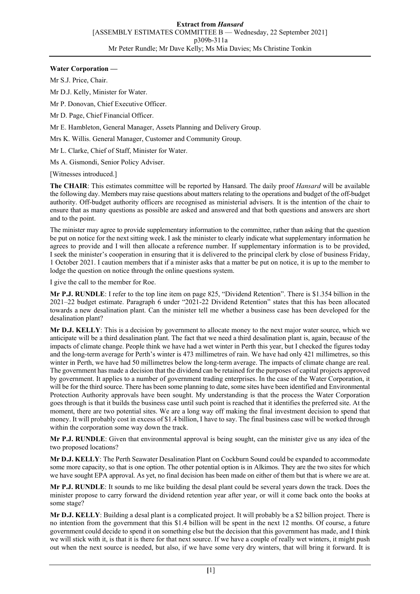## **Water Corporation —**

Mr S.J. Price, Chair.

Mr D.J. Kelly, Minister for Water.

Mr P. Donovan, Chief Executive Officer.

Mr D. Page, Chief Financial Officer.

Mr E. Hambleton, General Manager, Assets Planning and Delivery Group.

Mrs K. Willis. General Manager, Customer and Community Group.

Mr L. Clarke, Chief of Staff, Minister for Water.

Ms A. Gismondi, Senior Policy Adviser.

[Witnesses introduced.]

**The CHAIR**: This estimates committee will be reported by Hansard. The daily proof *Hansard* will be available the following day. Members may raise questions about matters relating to the operations and budget of the off-budget authority. Off-budget authority officers are recognised as ministerial advisers. It is the intention of the chair to ensure that as many questions as possible are asked and answered and that both questions and answers are short and to the point.

The minister may agree to provide supplementary information to the committee, rather than asking that the question be put on notice for the next sitting week. I ask the minister to clearly indicate what supplementary information he agrees to provide and I will then allocate a reference number. If supplementary information is to be provided, I seek the minister's cooperation in ensuring that it is delivered to the principal clerk by close of business Friday, 1 October 2021. I caution members that if a minister asks that a matter be put on notice, it is up to the member to lodge the question on notice through the online questions system.

I give the call to the member for Roe.

**Mr P.J. RUNDLE**: I refer to the top line item on page 825, "Dividend Retention". There is \$1.354 billion in the 2021–22 budget estimate. Paragraph 6 under "2021-22 Dividend Retention" states that this has been allocated towards a new desalination plant. Can the minister tell me whether a business case has been developed for the desalination plant?

**Mr D.J. KELLY**: This is a decision by government to allocate money to the next major water source, which we anticipate will be a third desalination plant. The fact that we need a third desalination plant is, again, because of the impacts of climate change. People think we have had a wet winter in Perth this year, but I checked the figures today and the long-term average for Perth's winter is 473 millimetres of rain. We have had only 421 millimetres, so this winter in Perth, we have had 50 millimetres below the long-term average. The impacts of climate change are real. The government has made a decision that the dividend can be retained for the purposes of capital projects approved by government. It applies to a number of government trading enterprises. In the case of the Water Corporation, it will be for the third source. There has been some planning to date, some sites have been identified and Environmental Protection Authority approvals have been sought. My understanding is that the process the Water Corporation goes through is that it builds the business case until such point is reached that it identifies the preferred site. At the moment, there are two potential sites. We are a long way off making the final investment decision to spend that money. It will probably cost in excess of \$1.4 billion, I have to say. The final business case will be worked through within the corporation some way down the track.

**Mr P.J. RUNDLE**: Given that environmental approval is being sought, can the minister give us any idea of the two proposed locations?

**Mr D.J. KELLY**: The Perth Seawater Desalination Plant on Cockburn Sound could be expanded to accommodate some more capacity, so that is one option. The other potential option is in Alkimos. They are the two sites for which we have sought EPA approval. As yet, no final decision has been made on either of them but that is where we are at.

**Mr P.J. RUNDLE**: It sounds to me like building the desal plant could be several years down the track. Does the minister propose to carry forward the dividend retention year after year, or will it come back onto the books at some stage?

**Mr D.J. KELLY**: Building a desal plant is a complicated project. It will probably be a \$2 billion project. There is no intention from the government that this \$1.4 billion will be spent in the next 12 months. Of course, a future government could decide to spend it on something else but the decision that this government has made, and I think we will stick with it, is that it is there for that next source. If we have a couple of really wet winters, it might push out when the next source is needed, but also, if we have some very dry winters, that will bring it forward. It is